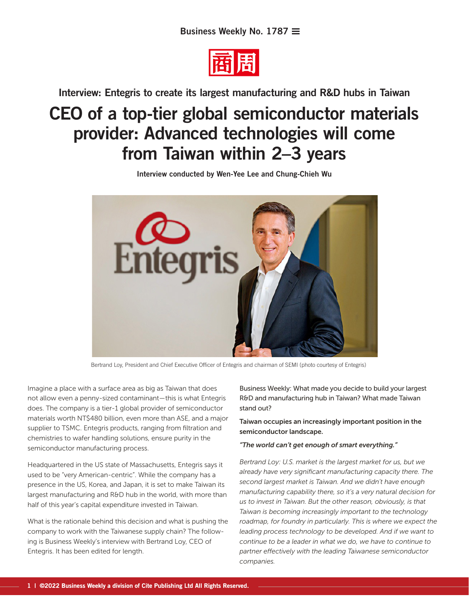Business Weekly No. 1787



Interview: Entegris to create its largest manufacturing and R&D hubs in Taiwan

# CEO of a top-tier global semiconductor materials provider: Advanced technologies will come from Taiwan within 2–3 years



Interview conducted by Wen-Yee Lee and Chung-Chieh Wu

Bertrand Loy, President and Chief Executive Officer of Entegris and chairman of SEMI (photo courtesy of Entegris)

Imagine a place with a surface area as big as Taiwan that does not allow even a penny-sized contaminant—this is what Entegris does. The company is a tier-1 global provider of semiconductor materials worth NT\$480 billion, even more than ASE, and a major supplier to TSMC. Entegris products, ranging from filtration and chemistries to wafer handling solutions, ensure purity in the semiconductor manufacturing process.

Headquartered in the US state of Massachusetts, Entegris says it used to be "very American-centric". While the company has a presence in the US, Korea, and Japan, it is set to make Taiwan its largest manufacturing and R&D hub in the world, with more than half of this year's capital expenditure invested in Taiwan.

What is the rationale behind this decision and what is pushing the company to work with the Taiwanese supply chain? The following is Business Weekly's interview with Bertrand Loy, CEO of Entegris. It has been edited for length.

Business Weekly: What made you decide to build your largest R&D and manufacturing hub in Taiwan? What made Taiwan stand out?

Taiwan occupies an increasingly important position in the semiconductor landscape.

*"The world can't get enough of smart everything."*

*Bertrand Loy: U.S. market is the largest market for us, but we already have very significant manufacturing capacity there. The second largest market is Taiwan. And we didn't have enough manufacturing capability there, so it's a very natural decision for us to invest in Taiwan. But the other reason, obviously, is that Taiwan is becoming increasingly important to the technology roadmap, for foundry in particularly. This is where we expect the leading process technology to be developed. And if we want to continue to be a leader in what we do, we have to continue to partner effectively with the leading Taiwanese semiconductor companies.*